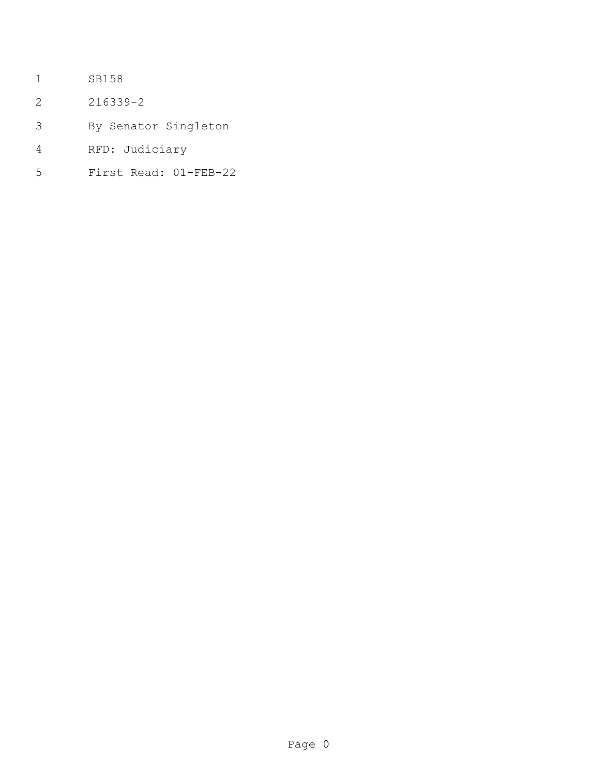- SB158
- 216339-2
- By Senator Singleton
- RFD: Judiciary
- First Read: 01-FEB-22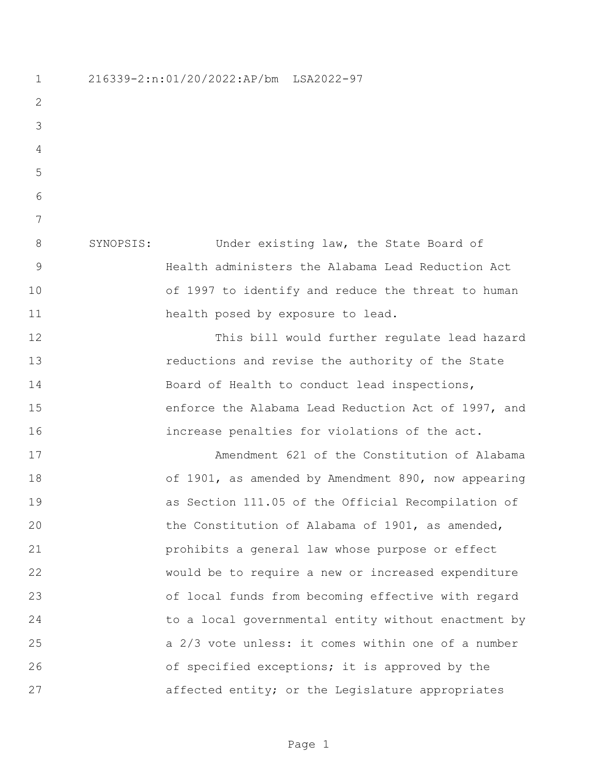216339-2:n:01/20/2022:AP/bm LSA2022-97 SYNOPSIS: Under existing law, the State Board of Health administers the Alabama Lead Reduction Act of 1997 to identify and reduce the threat to human health posed by exposure to lead. This bill would further regulate lead hazard reductions and revise the authority of the State 14 Board of Health to conduct lead inspections, enforce the Alabama Lead Reduction Act of 1997, and increase penalties for violations of the act. Amendment 621 of the Constitution of Alabama of 1901, as amended by Amendment 890, now appearing as Section 111.05 of the Official Recompilation of 20 the Constitution of Alabama of 1901, as amended, prohibits a general law whose purpose or effect would be to require a new or increased expenditure of local funds from becoming effective with regard to a local governmental entity without enactment by a 2/3 vote unless: it comes within one of a number **belog of specified exceptions;** it is approved by the 27 affected entity; or the Legislature appropriates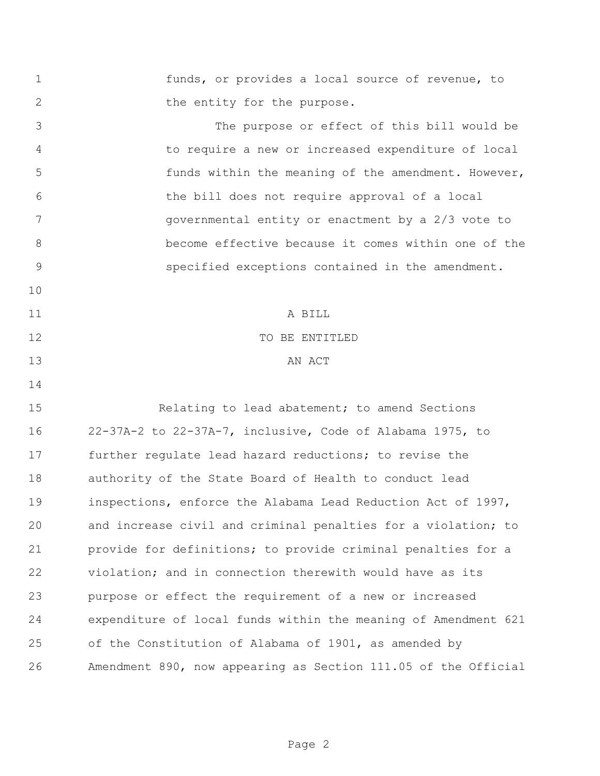funds, or provides a local source of revenue, to 2 the entity for the purpose. The purpose or effect of this bill would be to require a new or increased expenditure of local funds within the meaning of the amendment. However, the bill does not require approval of a local governmental entity or enactment by a 2/3 vote to become effective because it comes within one of the specified exceptions contained in the amendment. A BILL 12 TO BE ENTITLED 13 AN ACT Relating to lead abatement; to amend Sections 22-37A-2 to 22-37A-7, inclusive, Code of Alabama 1975, to further regulate lead hazard reductions; to revise the authority of the State Board of Health to conduct lead inspections, enforce the Alabama Lead Reduction Act of 1997, and increase civil and criminal penalties for a violation; to provide for definitions; to provide criminal penalties for a violation; and in connection therewith would have as its purpose or effect the requirement of a new or increased expenditure of local funds within the meaning of Amendment 621 of the Constitution of Alabama of 1901, as amended by Amendment 890, now appearing as Section 111.05 of the Official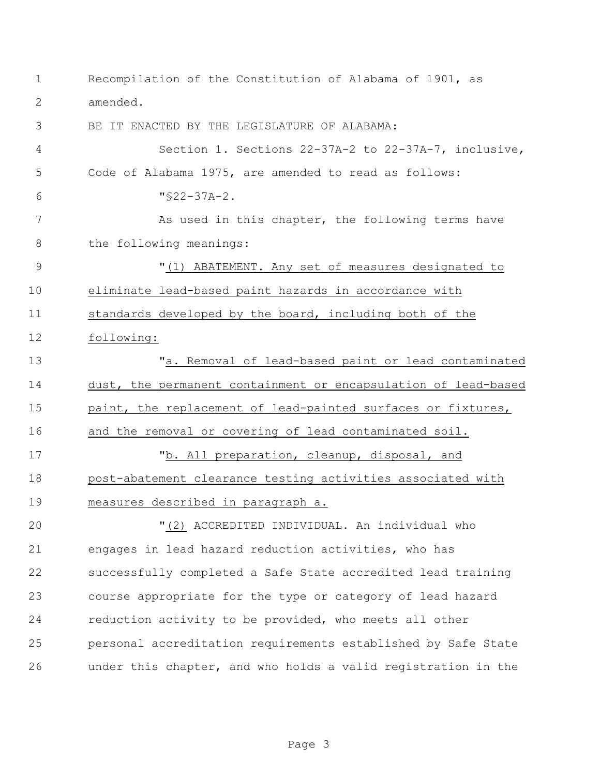| 1             | Recompilation of the Constitution of Alabama of 1901, as       |
|---------------|----------------------------------------------------------------|
| 2             | amended.                                                       |
| 3             | BE IT ENACTED BY THE LEGISLATURE OF ALABAMA:                   |
| 4             | Section 1. Sections 22-37A-2 to 22-37A-7, inclusive,           |
| 5             | Code of Alabama 1975, are amended to read as follows:          |
| 6             | $"$ \$22-37A-2.                                                |
| 7             | As used in this chapter, the following terms have              |
| 8             | the following meanings:                                        |
| $\mathcal{G}$ | "(1) ABATEMENT. Any set of measures designated to              |
| 10            | eliminate lead-based paint hazards in accordance with          |
| 11            | standards developed by the board, including both of the        |
| 12            | following:                                                     |
| 13            | "a. Removal of lead-based paint or lead contaminated           |
| 14            | dust, the permanent containment or encapsulation of lead-based |
| 15            | paint, the replacement of lead-painted surfaces or fixtures,   |
| 16            | and the removal or covering of lead contaminated soil.         |
| 17            | "b. All preparation, cleanup, disposal, and                    |
| 18            | post-abatement clearance testing activities associated with    |
| 19            | measures described in paragraph a.                             |
| 20            | "(2) ACCREDITED INDIVIDUAL. An individual who                  |
| 21            | engages in lead hazard reduction activities, who has           |
| 22            | successfully completed a Safe State accredited lead training   |
| 23            | course appropriate for the type or category of lead hazard     |
| 24            | reduction activity to be provided, who meets all other         |
| 25            | personal accreditation requirements established by Safe State  |
| 26            | under this chapter, and who holds a valid registration in the  |

Page 3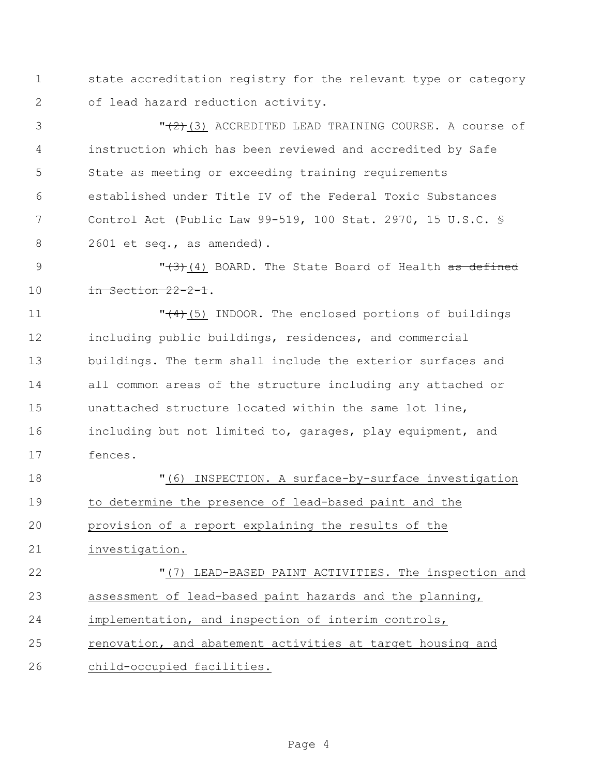state accreditation registry for the relevant type or category of lead hazard reduction activity.

3 T<del>(2)</del>(3) ACCREDITED LEAD TRAINING COURSE. A course of instruction which has been reviewed and accredited by Safe State as meeting or exceeding training requirements established under Title IV of the Federal Toxic Substances Control Act (Public Law 99-519, 100 Stat. 2970, 15 U.S.C. § 2601 et seq., as amended).

**19 I** and M and M and M and M and M and M and M and M and M and M and M and M and M and M and M and M and M and M and M and M and M and M and M and M and M and M and M and M and M and M and M and M and M and M and M and **in Section 22-2-1.** 

**The Communist Communist Communist Communist Communist Communist Communist Communist Communist Communist Communist Communist Communist Communist Communist Communist Communist Communist Communist Communist Communist Comm**  including public buildings, residences, and commercial buildings. The term shall include the exterior surfaces and all common areas of the structure including any attached or unattached structure located within the same lot line, including but not limited to, garages, play equipment, and fences.

 "(6) INSPECTION. A surface-by-surface investigation to determine the presence of lead-based paint and the provision of a report explaining the results of the investigation. "(7) LEAD-BASED PAINT ACTIVITIES. The inspection and assessment of lead-based paint hazards and the planning, implementation, and inspection of interim controls, renovation, and abatement activities at target housing and child-occupied facilities.

Page 4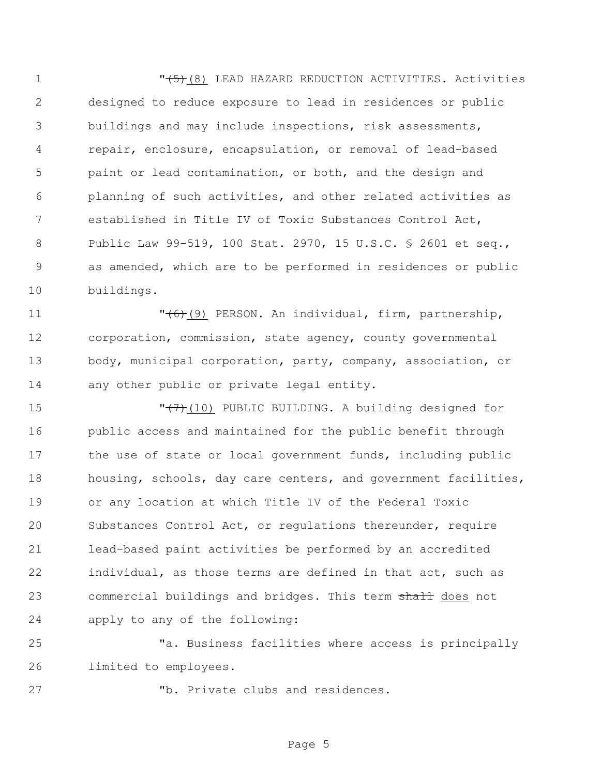$\sqrt{5}$ (8) LEAD HAZARD REDUCTION ACTIVITIES. Activities designed to reduce exposure to lead in residences or public buildings and may include inspections, risk assessments, repair, enclosure, encapsulation, or removal of lead-based paint or lead contamination, or both, and the design and planning of such activities, and other related activities as established in Title IV of Toxic Substances Control Act, Public Law 99-519, 100 Stat. 2970, 15 U.S.C. § 2601 et seq., as amended, which are to be performed in residences or public buildings.

**11** T<del>(6)</del>(9) PERSON. An individual, firm, partnership, corporation, commission, state agency, county governmental body, municipal corporation, party, company, association, or 14 any other public or private legal entity.

**"**(7)(10) PUBLIC BUILDING. A building designed for public access and maintained for the public benefit through 17 the use of state or local government funds, including public housing, schools, day care centers, and government facilities, or any location at which Title IV of the Federal Toxic Substances Control Act, or regulations thereunder, require lead-based paint activities be performed by an accredited individual, as those terms are defined in that act, such as 23 commercial buildings and bridges. This term shall does not apply to any of the following:

 "a. Business facilities where access is principally limited to employees.

"b. Private clubs and residences.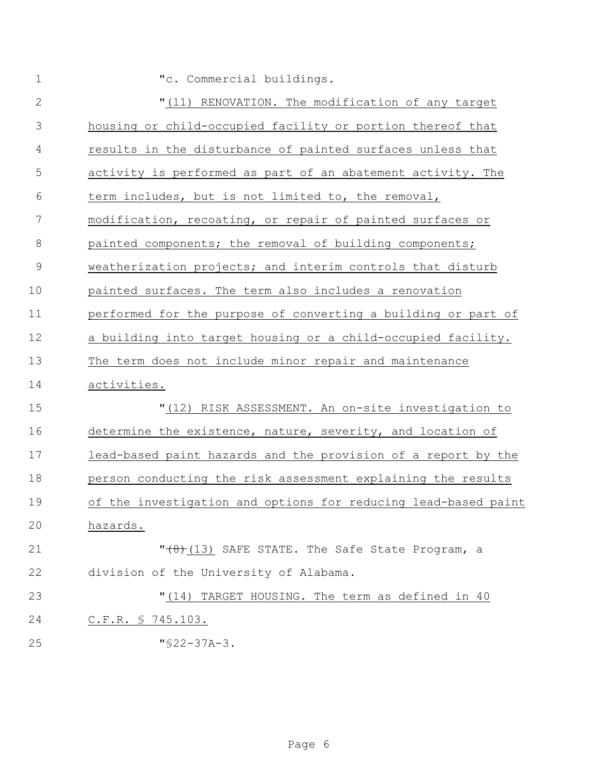| $\mathbf 1$   | "c. Commercial buildings.                                      |
|---------------|----------------------------------------------------------------|
| $\mathbf{2}$  | "(11) RENOVATION. The modification of any target               |
| 3             | housing or child-occupied facility or portion thereof that     |
| 4             | results in the disturbance of painted surfaces unless that     |
| 5             | activity is performed as part of an abatement activity. The    |
| 6             | term includes, but is not limited to, the removal,             |
| 7             | modification, recoating, or repair of painted surfaces or      |
| 8             | painted components; the removal of building components;        |
| $\mathcal{G}$ | weatherization projects; and interim controls that disturb     |
| 10            | painted surfaces. The term also includes a renovation          |
| 11            | performed for the purpose of converting a building or part of  |
| 12            | a building into target housing or a child-occupied facility.   |
| 13            | The term does not include minor repair and maintenance         |
| 14            | activities.                                                    |
| 15            | "(12) RISK ASSESSMENT. An on-site investigation to             |
| 16            | determine the existence, nature, severity, and location of     |
| 17            | lead-based paint hazards and the provision of a report by the  |
| 18            | person conducting the risk assessment explaining the results   |
| 19            | of the investigation and options for reducing lead-based paint |
| 20            | hazards.                                                       |
| 21            | $"$ $(13)$ SAFE STATE. The Safe State Program, a               |
| 22            | division of the University of Alabama.                         |
| 23            | " (14)<br>TARGET HOUSING. The term as defined in 40            |
| 24            | $C.F.R. \S 745.103.$                                           |
| 25            | $"$ \$22-37A-3.                                                |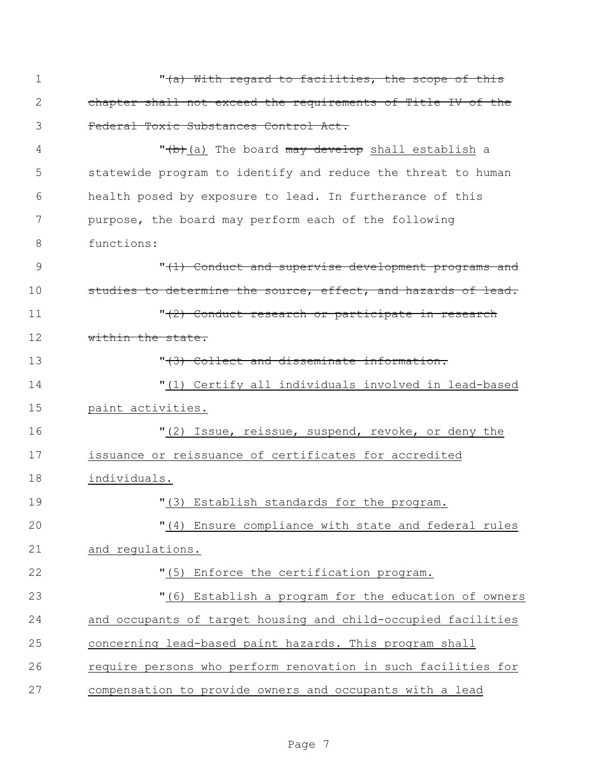| $\mathbf 1$   | " <del>(a) With regard to facilities, the scope of this</del> |
|---------------|---------------------------------------------------------------|
| 2             | chapter shall not exceed the requirements of Title IV of the  |
| 3             | Federal Toxic Substances Control Act.                         |
| 4             | "(b)(a) The board may develop shall establish a               |
| 5             | statewide program to identify and reduce the threat to human  |
| 6             | health posed by exposure to lead. In furtherance of this      |
| 7             | purpose, the board may perform each of the following          |
| 8             | functions:                                                    |
| $\mathcal{G}$ | "(1) Conduct and supervise development programs and           |
| 10            | studies to determine the source, effect, and hazards of lead. |
| 11            | "(2) Conduct research or participate in research              |
| 12            | within the state.                                             |
| 13            | "(3) Collect and disseminate information.                     |
| 14            | "(1) Certify all individuals involved in lead-based           |
| 15            | paint activities.                                             |
| 16            | "(2) Issue, reissue, suspend, revoke, or deny the             |
| 17            | issuance or reissuance of certificates for accredited         |
| 18            | individuals.                                                  |
| 19            | "(3) Establish standards for the program.                     |
| 20            | "(4) Ensure compliance with state and federal rules           |
| 21            | and regulations.                                              |
| 22            | "(5) Enforce the certification program.                       |
| 23            | "(6) Establish a program for the education of owners          |
| 24            | and occupants of target housing and child-occupied facilities |
| 25            | concerning lead-based paint hazards. This program shall       |
| 26            | require persons who perform renovation in such facilities for |
| 27            | compensation to provide owners and occupants with a lead      |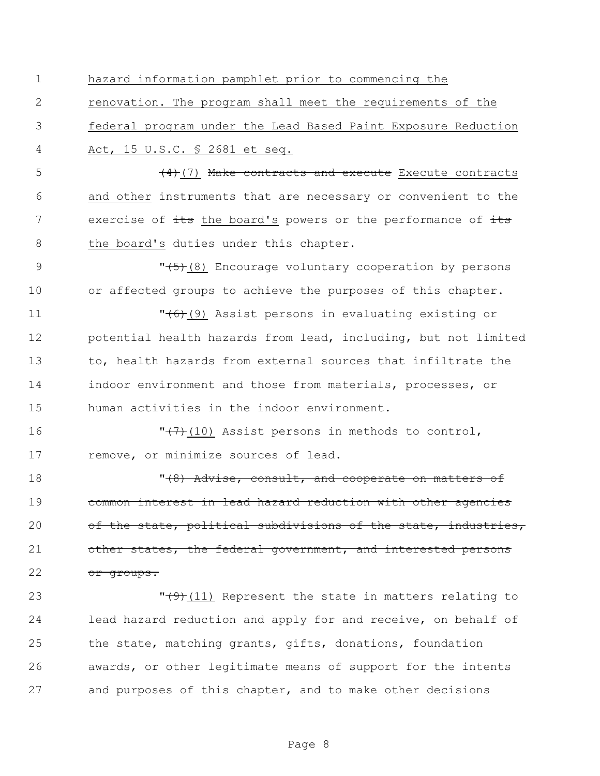hazard information pamphlet prior to commencing the

 renovation. The program shall meet the requirements of the federal program under the Lead Based Paint Exposure Reduction Act, 15 U.S.C. § 2681 et seq.

5 (4)(7) Make contracts and execute Execute contracts and other instruments that are necessary or convenient to the 7 exercise of its the board's powers or the performance of its 8 the board's duties under this chapter.

9  $\sqrt{5}$  (8) Encourage voluntary cooperation by persons or affected groups to achieve the purposes of this chapter.

**"**(6)(9) Assist persons in evaluating existing or potential health hazards from lead, including, but not limited to, health hazards from external sources that infiltrate the indoor environment and those from materials, processes, or human activities in the indoor environment.

16  $\sqrt{77}$ (10) Assist persons in methods to control, remove, or minimize sources of lead.

**18 "**(8) Advise, consult, and cooperate on matters of common interest in lead hazard reduction with other agencies 20 of the state, political subdivisions of the state, industries, 21 other states, the federal government, and interested persons 22 or groups.

**T**(9)(11) Represent the state in matters relating to lead hazard reduction and apply for and receive, on behalf of the state, matching grants, gifts, donations, foundation awards, or other legitimate means of support for the intents and purposes of this chapter, and to make other decisions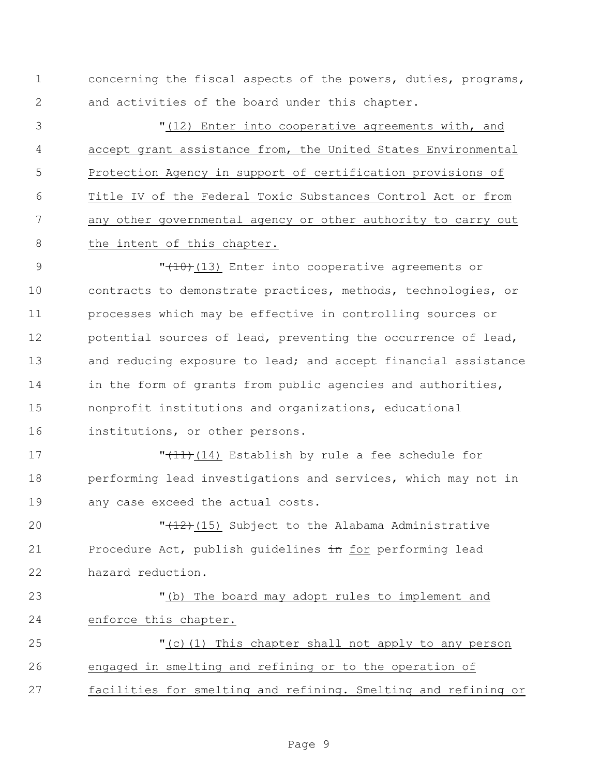concerning the fiscal aspects of the powers, duties, programs, and activities of the board under this chapter.

 "(12) Enter into cooperative agreements with, and accept grant assistance from, the United States Environmental Protection Agency in support of certification provisions of Title IV of the Federal Toxic Substances Control Act or from any other governmental agency or other authority to carry out 8 the intent of this chapter.

9 T<del>(10)</del>(13) Enter into cooperative agreements or contracts to demonstrate practices, methods, technologies, or processes which may be effective in controlling sources or potential sources of lead, preventing the occurrence of lead, 13 and reducing exposure to lead; and accept financial assistance 14 in the form of grants from public agencies and authorities, nonprofit institutions and organizations, educational institutions, or other persons.

17 TH<sub>11</sub>(14) Establish by rule a fee schedule for 18 performing lead investigations and services, which may not in any case exceed the actual costs.

**T** (12)(15) Subject to the Alabama Administrative 21 Procedure Act, publish quidelines in for performing lead hazard reduction.

 "(b) The board may adopt rules to implement and enforce this chapter.

 "(c)(1) This chapter shall not apply to any person engaged in smelting and refining or to the operation of facilities for smelting and refining. Smelting and refining or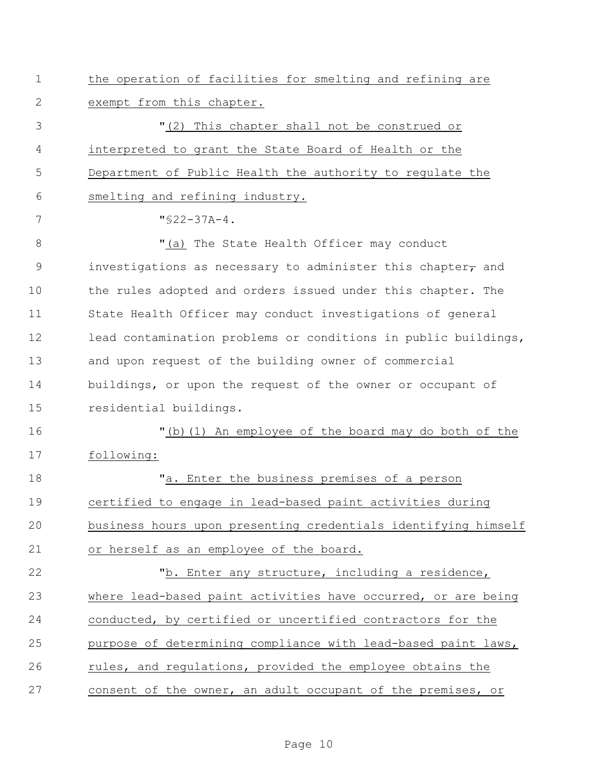| $\mathbf 1$ | the operation of facilities for smelting and refining are         |
|-------------|-------------------------------------------------------------------|
| 2           | exempt from this chapter.                                         |
| 3           | "(2) This chapter shall not be construed or                       |
| 4           | interpreted to grant the State Board of Health or the             |
| 5           | Department of Public Health the authority to regulate the         |
| 6           | smelting and refining industry.                                   |
| 7           | $"$ \$22-37A-4.                                                   |
| $8\,$       | "(a) The State Health Officer may conduct                         |
| 9           | investigations as necessary to administer this chapter $\tau$ and |
| 10          | the rules adopted and orders issued under this chapter. The       |
| 11          | State Health Officer may conduct investigations of general        |
| 12          | lead contamination problems or conditions in public buildings,    |
| 13          | and upon request of the building owner of commercial              |
| 14          | buildings, or upon the request of the owner or occupant of        |
| 15          | residential buildings.                                            |
| 16          | "(b) (1) An employee of the board may do both of the              |
| 17          | following:                                                        |
| 18          | "a. Enter the business premises of a person                       |
| 19          | certified to engage in lead-based paint activities during         |
| 20          | business hours upon presenting credentials identifying himself    |
| 21          | or herself as an employee of the board.                           |
| 22          | "b. Enter any structure, including a residence,                   |
| 23          | where lead-based paint activities have occurred, or are being     |
| 24          | conducted, by certified or uncertified contractors for the        |
| 25          | purpose of determining compliance with lead-based paint laws,     |
| 26          | rules, and regulations, provided the employee obtains the         |
| 27          | consent of the owner, an adult occupant of the premises, or       |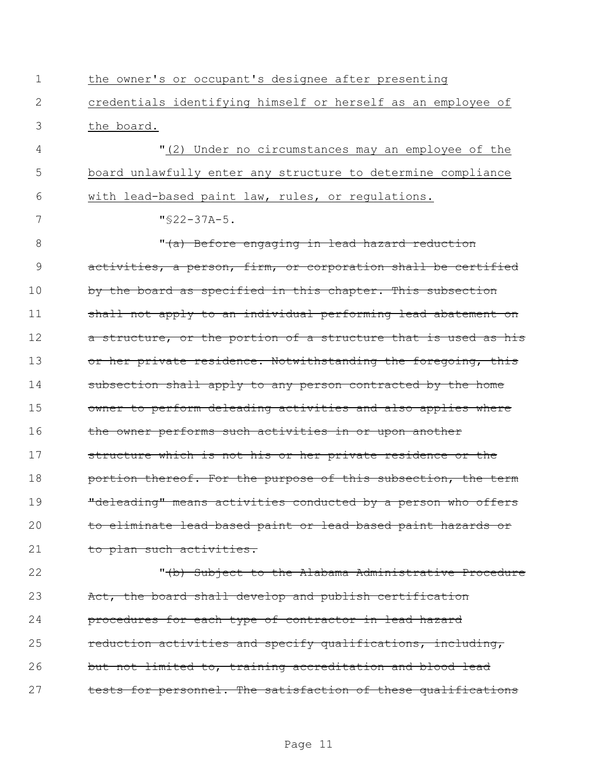1 the owner's or occupant's designee after presenting 2 credentials identifying himself or herself as an employee of 3 the board. 4 "(2) Under no circumstances may an employee of the 5 board unlawfully enter any structure to determine compliance 6 with lead-based paint law, rules, or regulations. 7 "§22-37A-5. 8 "(a) Before engaging in lead hazard reduction 9 activities, a person, firm, or corporation shall be certified 10 by the board as specified in this chapter. This subsection 11 shall not apply to an individual performing lead abatement on 12 a structure, or the portion of a structure that is used as his 13 or her private residence. Notwithstanding the foregoing, this 14 subsection shall apply to any person contracted by the home 15 owner to perform deleading activities and also applies where 16 the owner performs such activities in or upon another 17 structure which is not his or her private residence or the 18 **portion thereof. For the purpose of this subsection, the term** 19 **"**deleading" means activities conducted by a person who offers 20 to eliminate lead-based paint or lead-based paint hazards or 21 to plan such activities. 22 **"**(b) Subject to the Alabama Administrative Procedure 23 Act, the board shall develop and publish certification 24 **procedures for each type of contractor in lead hazard** 

25 reduction activities and specify qualifications, including, 26 but not limited to, training accreditation and blood lead 27 tests for personnel. The satisfaction of these qualifications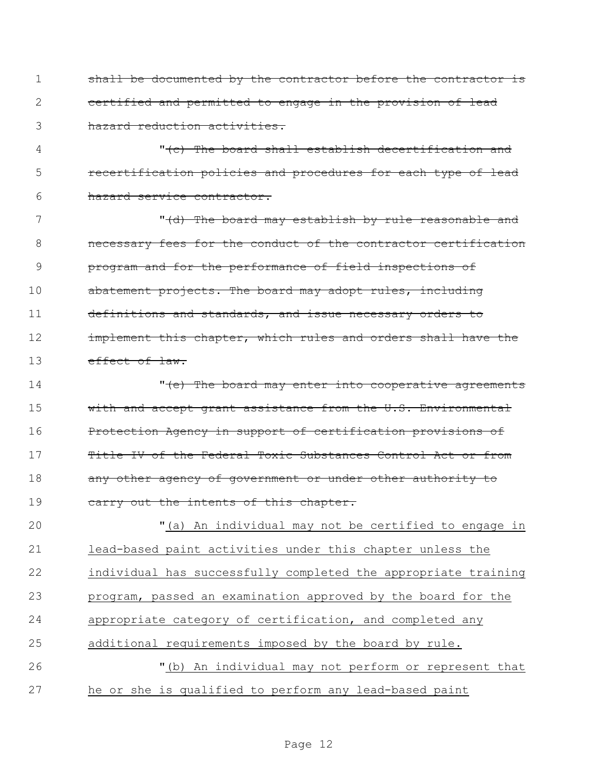shall be documented by the contractor before the contractor is certified and permitted to engage in the provision of lead hazard reduction activities.

4 The board shall establish decertification and 5 recertification policies and procedures for each type of lead hazard service contractor.

7 The board may establish by rule reasonable and **necessary fees for the conduct of the contractor certification**  program and for the performance of field inspections of abatement projects. The board may adopt rules, including definitions and standards, and issue necessary orders to **implement this chapter, which rules and orders shall have the** 13 effect of law.

14 The board may enter into cooperative agreements 15 with and accept grant assistance from the U.S. Environmental Protection Agency in support of certification provisions of Title IV of the Federal Toxic Substances Control Act or from 18 any other agency of government or under other authority to 19 carry out the intents of this chapter.

 "(a) An individual may not be certified to engage in lead-based paint activities under this chapter unless the individual has successfully completed the appropriate training program, passed an examination approved by the board for the appropriate category of certification, and completed any additional requirements imposed by the board by rule. "(b) An individual may not perform or represent that he or she is qualified to perform any lead-based paint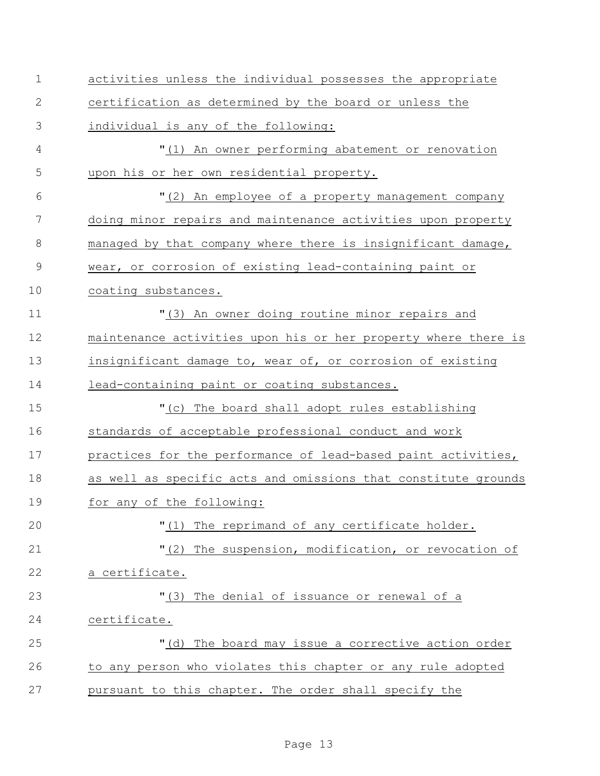| $\mathbf 1$    | activities unless the individual possesses the appropriate     |
|----------------|----------------------------------------------------------------|
| $\mathbf{2}$   | certification as determined by the board or unless the         |
| 3              | individual is any of the following:                            |
| $\overline{4}$ | "(1) An owner performing abatement or renovation               |
| 5              | upon his or her own residential property.                      |
| 6              | "(2) An employee of a property management company              |
| 7              | doing minor repairs and maintenance activities upon property   |
| 8              | managed by that company where there is insignificant damage,   |
| $\mathcal{G}$  | wear, or corrosion of existing lead-containing paint or        |
| 10             | coating substances.                                            |
| 11             | "(3) An owner doing routine minor repairs and                  |
| 12             | maintenance activities upon his or her property where there is |
| 13             | insignificant damage to, wear of, or corrosion of existing     |
| 14             | lead-containing paint or coating substances.                   |
| 15             | "(c) The board shall adopt rules establishing                  |
| 16             | standards of acceptable professional conduct and work          |
| 17             | practices for the performance of lead-based paint activities,  |
| 18             | as well as specific acts and omissions that constitute grounds |
| 19             | for any of the following:                                      |
| 20             | "(1) The reprimand of any certificate holder.                  |
| 21             | "(2) The suspension, modification, or revocation of            |
| 22             | a certificate.                                                 |
| 23             | "(3) The denial of issuance or renewal of a                    |
| 24             | certificate.                                                   |
| 25             | "(d) The board may issue a corrective action order             |
| 26             | to any person who violates this chapter or any rule adopted    |
| 27             | pursuant to this chapter. The order shall specify the          |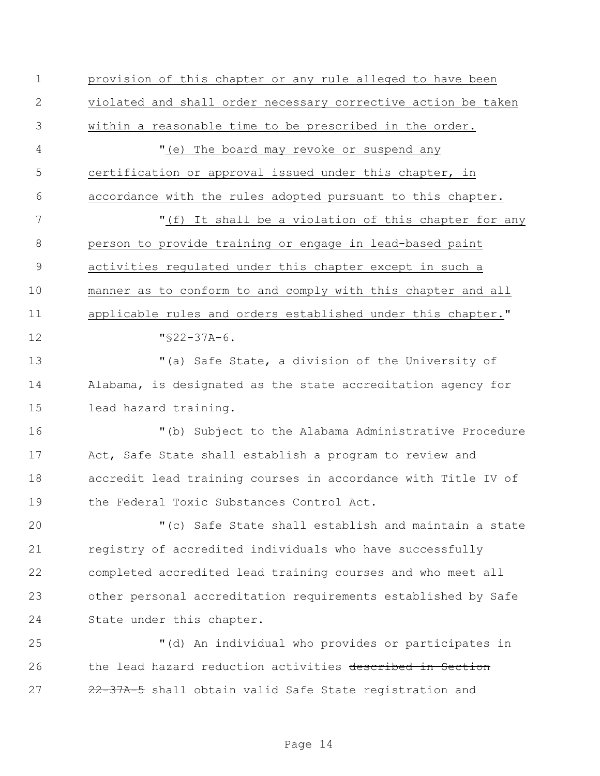provision of this chapter or any rule alleged to have been violated and shall order necessary corrective action be taken within a reasonable time to be prescribed in the order. 4 "(e) The board may revoke or suspend any certification or approval issued under this chapter, in accordance with the rules adopted pursuant to this chapter. 7 The M<sub>I</sub> (f) It shall be a violation of this chapter for any person to provide training or engage in lead-based paint activities regulated under this chapter except in such a manner as to conform to and comply with this chapter and all applicable rules and orders established under this chapter." "§22-37A-6. "(a) Safe State, a division of the University of Alabama, is designated as the state accreditation agency for lead hazard training. "(b) Subject to the Alabama Administrative Procedure Act, Safe State shall establish a program to review and accredit lead training courses in accordance with Title IV of the Federal Toxic Substances Control Act. "(c) Safe State shall establish and maintain a state registry of accredited individuals who have successfully completed accredited lead training courses and who meet all other personal accreditation requirements established by Safe State under this chapter. "(d) An individual who provides or participates in 26 the lead hazard reduction activities described in Section 27 22-37A-5 shall obtain valid Safe State registration and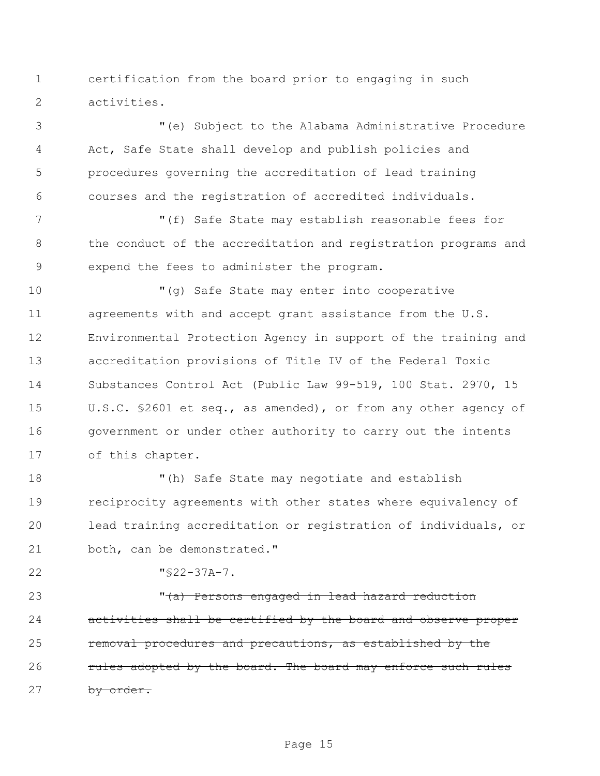certification from the board prior to engaging in such activities.

 "(e) Subject to the Alabama Administrative Procedure Act, Safe State shall develop and publish policies and procedures governing the accreditation of lead training courses and the registration of accredited individuals.

 "(f) Safe State may establish reasonable fees for the conduct of the accreditation and registration programs and expend the fees to administer the program.

 "(g) Safe State may enter into cooperative agreements with and accept grant assistance from the U.S. Environmental Protection Agency in support of the training and accreditation provisions of Title IV of the Federal Toxic Substances Control Act (Public Law 99-519, 100 Stat. 2970, 15 U.S.C. §2601 et seq., as amended), or from any other agency of government or under other authority to carry out the intents of this chapter.

 "(h) Safe State may negotiate and establish reciprocity agreements with other states where equivalency of lead training accreditation or registration of individuals, or both, can be demonstrated."

"§22-37A-7.

23 The Manusch Chersons engaged in lead hazard reduction activities shall be certified by the board and observe proper removal procedures and precautions, as established by the **rules adopted by the board. The board may enforce such rules** 27 by order.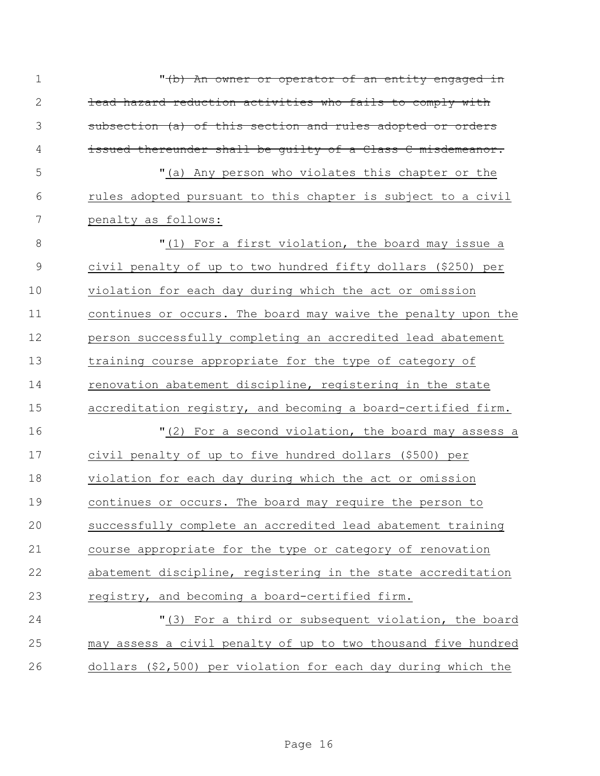| $\mathbf 1$    | " <del>(b) An owner or operator of an entity engaged in</del> |
|----------------|---------------------------------------------------------------|
| $\mathbf{2}$   | lead hazard reduction activities who fails to comply with     |
| 3              | subsection (a) of this section and rules adopted or orders    |
| 4              | issued thereunder shall be quilty of a Class C misdemeanor.   |
| 5              | "(a) Any person who violates this chapter or the              |
| 6              | rules adopted pursuant to this chapter is subject to a civil  |
| 7              | penalty as follows:                                           |
| 8              | "(1) For a first violation, the board may issue a             |
| $\overline{9}$ | civil penalty of up to two hundred fifty dollars (\$250) per  |
| 10             | violation for each day during which the act or omission       |
| 11             | continues or occurs. The board may waive the penalty upon the |
| 12             | person successfully completing an accredited lead abatement   |
| 13             | training course appropriate for the type of category of       |
| 14             | renovation abatement discipline, registering in the state     |
| 15             | accreditation registry, and becoming a board-certified firm.  |
| 16             | "(2) For a second violation, the board may assess a           |
| 17             | civil penalty of up to five hundred dollars (\$500) per       |
| 18             | violation for each day during which the act or omission       |
| 19             | continues or occurs. The board may require the person to      |
| 20             | successfully complete an accredited lead abatement training   |
| 21             | course appropriate for the type or category of renovation     |
| 22             | abatement discipline, registering in the state accreditation  |
| 23             | registry, and becoming a board-certified firm.                |
| 24             | "(3) For a third or subsequent violation, the board           |
| 25             | may assess a civil penalty of up to two thousand five hundred |
| 26             | dollars (\$2,500) per violation for each day during which the |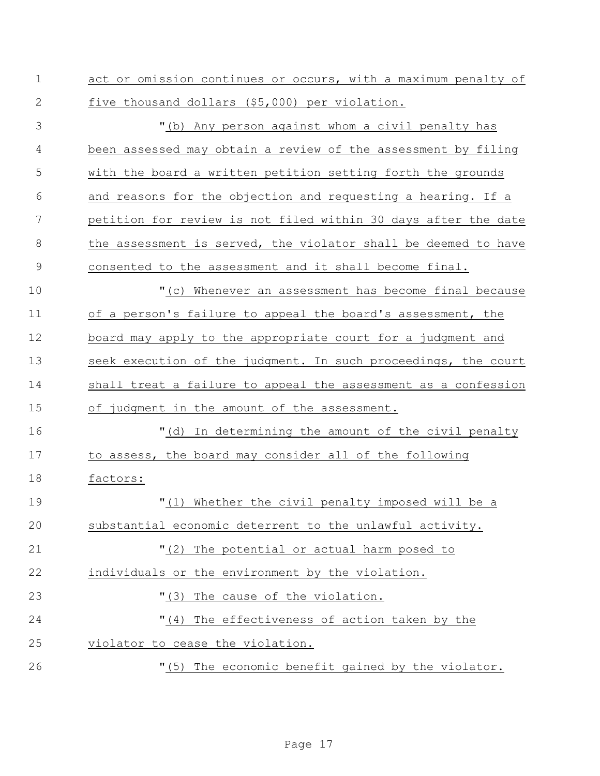|  |  |                                                |  |  | act or omission continues or occurs, with a maximum penalty of |  |
|--|--|------------------------------------------------|--|--|----------------------------------------------------------------|--|
|  |  | five thousand dollars (\$5,000) per violation. |  |  |                                                                |  |

 "(b) Any person against whom a civil penalty has been assessed may obtain a review of the assessment by filing with the board a written petition setting forth the grounds and reasons for the objection and requesting a hearing. If a petition for review is not filed within 30 days after the date 8 the assessment is served, the violator shall be deemed to have consented to the assessment and it shall become final. "(c) Whenever an assessment has become final because of a person's failure to appeal the board's assessment, the board may apply to the appropriate court for a judgment and seek execution of the judgment. In such proceedings, the court shall treat a failure to appeal the assessment as a confession of judgment in the amount of the assessment.

 "(d) In determining the amount of the civil penalty to assess, the board may consider all of the following factors:

 "(1) Whether the civil penalty imposed will be a substantial economic deterrent to the unlawful activity. "(2) The potential or actual harm posed to individuals or the environment by the violation.  $(3)$  The cause of the violation. "(4) The effectiveness of action taken by the violator to cease the violation. "(5) The economic benefit gained by the violator.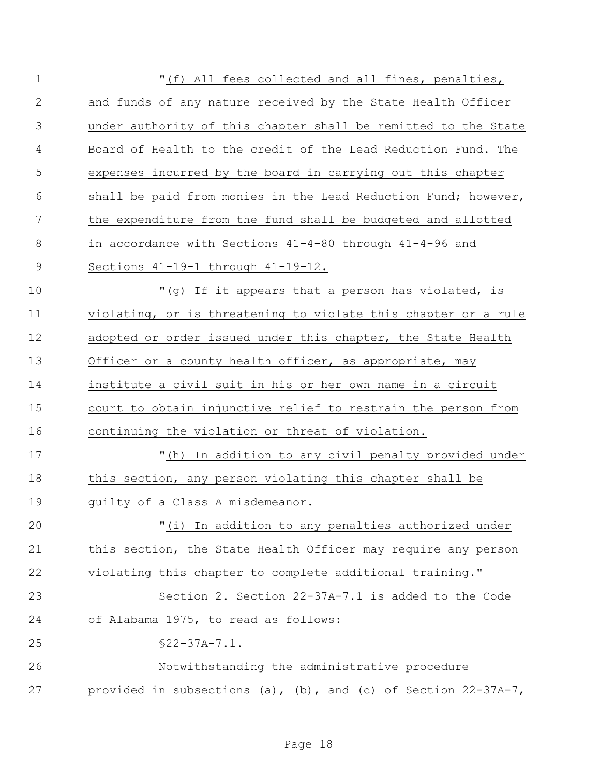| $\mathbf 1$    | "(f) All fees collected and all fines, penalties,              |
|----------------|----------------------------------------------------------------|
| 2              | and funds of any nature received by the State Health Officer   |
| 3              | under authority of this chapter shall be remitted to the State |
| $\overline{4}$ | Board of Health to the credit of the Lead Reduction Fund. The  |
| 5              | expenses incurred by the board in carrying out this chapter    |
| 6              | shall be paid from monies in the Lead Reduction Fund; however, |
| 7              | the expenditure from the fund shall be budgeted and allotted   |
| 8              | in accordance with Sections 41-4-80 through 41-4-96 and        |
| $\mathcal{G}$  | Sections 41-19-1 through 41-19-12.                             |
| 10             | "(g) If it appears that a person has violated, is              |
| 11             | violating, or is threatening to violate this chapter or a rule |
| 12             | adopted or order issued under this chapter, the State Health   |
| 13             | Officer or a county health officer, as appropriate, may        |
| 14             | institute a civil suit in his or her own name in a circuit     |
| 15             | court to obtain injunctive relief to restrain the person from  |
| 16             | continuing the violation or threat of violation.               |
| 17             | "(h) In addition to any civil penalty provided under           |
| 18             | this section, any person violating this chapter shall be       |
| 19             | guilty of a Class A misdemeanor.                               |
| 20             | "(i) In addition to any penalties authorized under             |
| 21             | this section, the State Health Officer may require any person  |
| 22             | violating this chapter to complete additional training."       |
| 23             | Section 2. Section 22-37A-7.1 is added to the Code             |
| 24             | of Alabama 1975, to read as follows:                           |
| 25             | $$22-37A-7.1.$                                                 |
| 26             | Notwithstanding the administrative procedure                   |
| 27             | provided in subsections (a), (b), and (c) of Section 22-37A-7, |